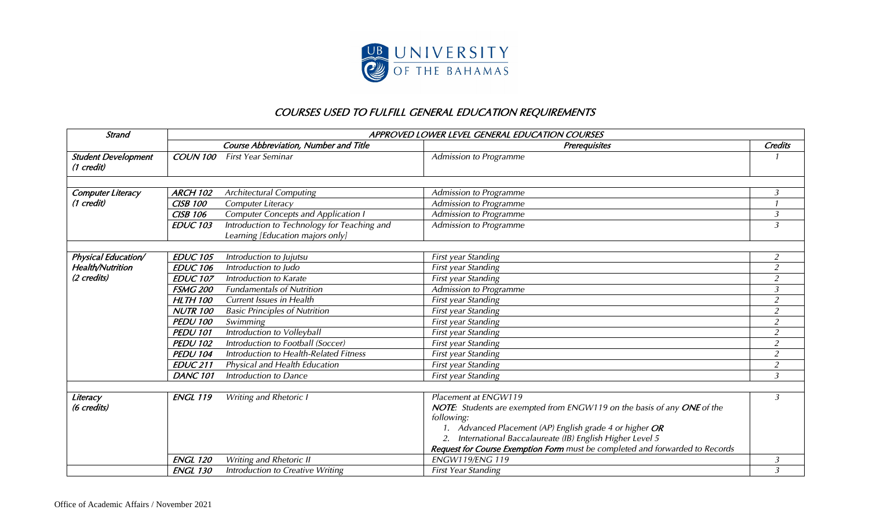

## COURSES USED TO FULFILL GENERAL EDUCATION REQUIREMENTS

| <b>Strand</b>                            | APPROVED LOWER LEVEL GENERAL EDUCATION COURSES |                                                                                 |                                                                                                                                                                                                                                                                                                                        |                |  |
|------------------------------------------|------------------------------------------------|---------------------------------------------------------------------------------|------------------------------------------------------------------------------------------------------------------------------------------------------------------------------------------------------------------------------------------------------------------------------------------------------------------------|----------------|--|
|                                          | <b>Course Abbreviation, Number and Title</b>   |                                                                                 | <b>Prerequisites</b>                                                                                                                                                                                                                                                                                                   |                |  |
| <b>Student Development</b><br>(1 credit) | COUN 100                                       | <b>First Year Seminar</b>                                                       | Admission to Programme                                                                                                                                                                                                                                                                                                 |                |  |
|                                          |                                                |                                                                                 |                                                                                                                                                                                                                                                                                                                        |                |  |
| Computer Literacy                        | <b>ARCH 102</b>                                | <b>Architectural Computing</b>                                                  | Admission to Programme                                                                                                                                                                                                                                                                                                 | 3              |  |
| (1 credit)                               | <b>CISB 100</b>                                | Computer Literacy                                                               | Admission to Programme                                                                                                                                                                                                                                                                                                 |                |  |
|                                          | <b>CISB 106</b>                                | <b>Computer Concepts and Application I</b>                                      | Admission to Programme                                                                                                                                                                                                                                                                                                 | $\mathfrak{Z}$ |  |
|                                          | <b>EDUC 103</b>                                | Introduction to Technology for Teaching and<br>Learning [Education majors only] | Admission to Programme                                                                                                                                                                                                                                                                                                 | 3              |  |
|                                          |                                                |                                                                                 |                                                                                                                                                                                                                                                                                                                        |                |  |
| Physical Education/                      | <b>EDUC 105</b>                                | Introduction to Jujutsu                                                         | First year Standing                                                                                                                                                                                                                                                                                                    | $\overline{2}$ |  |
| Health/Nutrition                         | <b>EDUC 106</b>                                | Introduction to Judo                                                            | First year Standing                                                                                                                                                                                                                                                                                                    | $\overline{a}$ |  |
| (2 credits)                              | <b>EDUC 107</b>                                | Introduction to Karate                                                          | First year Standing                                                                                                                                                                                                                                                                                                    | $\overline{a}$ |  |
|                                          | <b>FSMG 200</b>                                | <b>Fundamentals of Nutrition</b>                                                | Admission to Programme                                                                                                                                                                                                                                                                                                 | $\overline{3}$ |  |
|                                          | <b>HLTH 100</b>                                | <b>Current Issues in Health</b>                                                 | First year Standing                                                                                                                                                                                                                                                                                                    | $\overline{a}$ |  |
|                                          | <b>NUTR 100</b>                                | <b>Basic Principles of Nutrition</b>                                            | First year Standing                                                                                                                                                                                                                                                                                                    | $\overline{a}$ |  |
|                                          | <b>PEDU 100</b>                                | Swimming                                                                        | First year Standing                                                                                                                                                                                                                                                                                                    | $\overline{a}$ |  |
|                                          | <b>PEDU 101</b>                                | Introduction to Volleyball                                                      | First year Standing                                                                                                                                                                                                                                                                                                    | $\overline{a}$ |  |
|                                          | <b>PEDU 102</b>                                | Introduction to Football (Soccer)                                               | First year Standing                                                                                                                                                                                                                                                                                                    | $\overline{2}$ |  |
|                                          | <b>PEDU 104</b>                                | Introduction to Health-Related Fitness                                          | First year Standing                                                                                                                                                                                                                                                                                                    | $\overline{a}$ |  |
|                                          | <b>EDUC 211</b>                                | Physical and Health Education                                                   | First year Standing                                                                                                                                                                                                                                                                                                    | $\overline{a}$ |  |
|                                          | <b>DANC 101</b>                                | Introduction to Dance                                                           | First year Standing                                                                                                                                                                                                                                                                                                    | 3              |  |
| Literacy<br>(6 credits)                  | <b>ENGL 119</b>                                | Writing and Rhetoric I                                                          | Placement at ENGW119<br>NOTE: Students are exempted from ENGW119 on the basis of any ONE of the<br>following:<br>1. Advanced Placement (AP) English grade 4 or higher OR<br>2. International Baccalaureate (IB) English Higher Level 5<br>Request for Course Exemption Form must be completed and forwarded to Records | 3              |  |
|                                          | <b>ENGL 120</b>                                | Writing and Rhetoric II                                                         | <b>ENGW119/ENG 119</b>                                                                                                                                                                                                                                                                                                 | 3              |  |
|                                          | <b>ENGL 130</b>                                | Introduction to Creative Writing                                                | <b>First Year Standing</b>                                                                                                                                                                                                                                                                                             | 3              |  |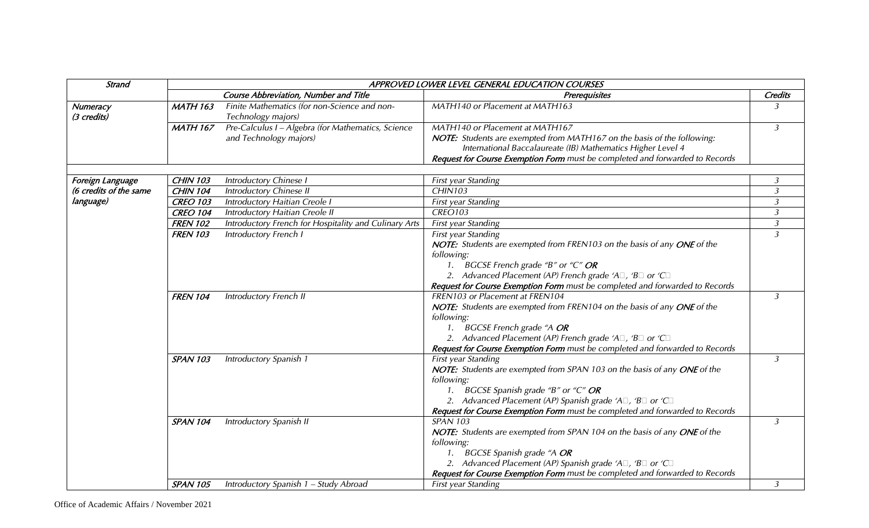| Strand                  | APPROVED LOWER LEVEL GENERAL EDUCATION COURSES |                                                                              |                                                                                                                                                                                                                                                                                                                       |                |  |
|-------------------------|------------------------------------------------|------------------------------------------------------------------------------|-----------------------------------------------------------------------------------------------------------------------------------------------------------------------------------------------------------------------------------------------------------------------------------------------------------------------|----------------|--|
|                         | <b>Course Abbreviation, Number and Title</b>   |                                                                              | <b>Prerequisites</b>                                                                                                                                                                                                                                                                                                  |                |  |
| Numeracy<br>(3 credits) | <b>MATH 163</b>                                | Finite Mathematics (for non-Science and non-<br>Technology majors)           | MATH140 or Placement at MATH163                                                                                                                                                                                                                                                                                       | $\overline{3}$ |  |
|                         | <b>MATH 167</b>                                | Pre-Calculus I - Algebra (for Mathematics, Science<br>and Technology majors) | MATH140 or Placement at MATH167<br>NOTE: Students are exempted from MATH167 on the basis of the following:<br>International Baccalaureate (IB) Mathematics Higher Level 4<br>Request for Course Exemption Form must be completed and forwarded to Records                                                             | $\mathfrak{Z}$ |  |
| Foreign Language        | <b>CHIN 103</b>                                | <b>Introductory Chinese I</b>                                                | First year Standing                                                                                                                                                                                                                                                                                                   | 3              |  |
| (6 credits of the same  | <b>CHIN 104</b>                                | <b>Introductory Chinese II</b>                                               | <b>CHIN103</b>                                                                                                                                                                                                                                                                                                        | $\mathfrak{Z}$ |  |
| language)               | <b>CREO 103</b>                                | Introductory Haitian Creole I                                                | First year Standing                                                                                                                                                                                                                                                                                                   | $\mathfrak{Z}$ |  |
|                         | <b>CREO 104</b>                                | Introductory Haitian Creole II                                               | <b>CREO103</b>                                                                                                                                                                                                                                                                                                        | $\mathfrak{Z}$ |  |
|                         | <b>FREN 102</b>                                | Introductory French for Hospitality and Culinary Arts                        | First year Standing                                                                                                                                                                                                                                                                                                   | $\mathfrak{Z}$ |  |
|                         | <b>FREN 103</b>                                | Introductory French I                                                        | First year Standing<br>NOTE: Students are exempted from FREN103 on the basis of any ONE of the<br>following:<br>1. BGCSE French grade "B" or "C" OR<br>2. Advanced Placement (AP) French grade 'A $\Box$ , 'B $\Box$ or 'C $\Box$<br>Request for Course Exemption Form must be completed and forwarded to Records     | $\overline{3}$ |  |
|                         | <b>FREN 104</b>                                | <b>Introductory French II</b>                                                | FREN103 or Placement at FREN104<br>NOTE: Students are exempted from FREN104 on the basis of any ONE of the<br>following:<br>1. BGCSE French grade "A OR<br>2. Advanced Placement (AP) French grade 'A $\Box$ , 'B $\Box$ or 'C $\Box$<br>Request for Course Exemption Form must be completed and forwarded to Records | 3              |  |
|                         | <b>SPAN 103</b>                                | Introductory Spanish 1                                                       | First year Standing<br>NOTE: Students are exempted from SPAN 103 on the basis of any ONE of the<br>following:<br>1. BGCSE Spanish grade "B" or "C" OR<br>2. Advanced Placement (AP) Spanish grade 'A $\Box$ , 'B $\Box$ or 'C $\Box$<br>Request for Course Exemption Form must be completed and forwarded to Records  | 3              |  |
|                         | <b>SPAN 104</b>                                | Introductory Spanish II                                                      | <b>SPAN 103</b><br>NOTE: Students are exempted from SPAN 104 on the basis of any ONE of the<br>following:<br>1. BGCSE Spanish grade "A OR<br>2. Advanced Placement (AP) Spanish grade 'A $\Box$ , 'B $\Box$ or 'C $\Box$<br>Request for Course Exemption Form must be completed and forwarded to Records              | 3              |  |
|                         | <b>SPAN 105</b>                                | Introductory Spanish 1 - Study Abroad                                        | First year Standing                                                                                                                                                                                                                                                                                                   | $\mathfrak{Z}$ |  |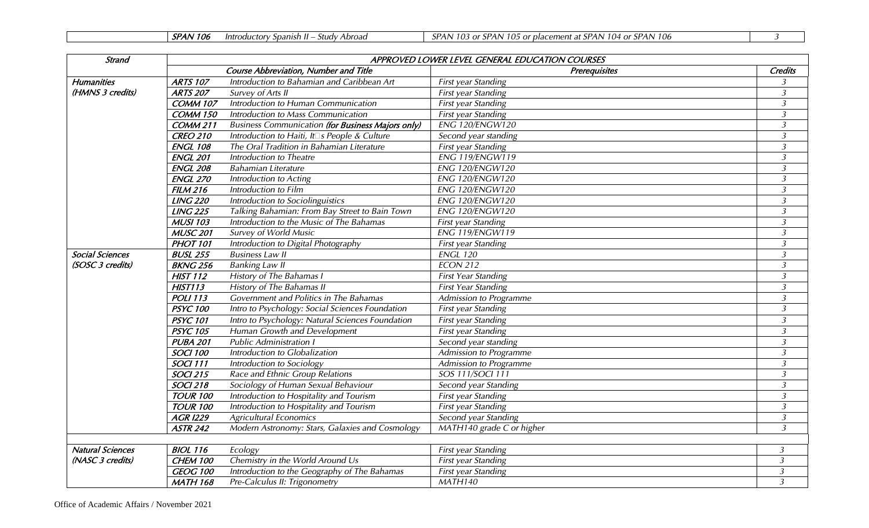|  | <b>SPAN</b><br>' 106 | - Introductory Spanish II | - Study Abroad | 103 or SPAN<br>SPAN | $\lambda$ 105 or placement at SPAN 104 or SPAN $^{\circ}$<br>106 |  |  |
|--|----------------------|---------------------------|----------------|---------------------|------------------------------------------------------------------|--|--|
|--|----------------------|---------------------------|----------------|---------------------|------------------------------------------------------------------|--|--|

| <b>Strand</b>           | APPROVED LOWER LEVEL GENERAL EDUCATION COURSES |                                                          |                            |                         |  |
|-------------------------|------------------------------------------------|----------------------------------------------------------|----------------------------|-------------------------|--|
|                         |                                                | <b>Course Abbreviation, Number and Title</b>             | <b>Prerequisites</b>       | <b>Credits</b>          |  |
| <b>Humanities</b>       | <b>ARTS 107</b>                                | Introduction to Bahamian and Caribbean Art               | First year Standing        | 3                       |  |
| (HMNS 3 credits)        | <b>ARTS 207</b>                                | <b>Survey of Arts II</b>                                 | First year Standing        | $\overline{3}$          |  |
|                         | COMM 107                                       | Introduction to Human Communication                      | First year Standing        | $\overline{3}$          |  |
|                         | COMM 150                                       | Introduction to Mass Communication                       | First year Standing        | $\overline{3}$          |  |
|                         | COMM 211                                       | <b>Business Communication (for Business Majors only)</b> | <b>ENG 120/ENGW120</b>     | $\overline{3}$          |  |
|                         | <b>CREO 210</b>                                | Introduction to Haiti, It S People & Culture             | Second year standing       | $\overline{3}$          |  |
|                         | <b>ENGL 108</b>                                | The Oral Tradition in Bahamian Literature                | First year Standing        | $\overline{3}$          |  |
|                         | <b>ENGL 201</b>                                | Introduction to Theatre                                  | <b>ENG 119/ENGW119</b>     | $\overline{3}$          |  |
|                         | <b>ENGL 208</b>                                | <b>Bahamian Literature</b>                               | ENG 120/ENGW120            | $\overline{3}$          |  |
|                         | <b>ENGL 270</b>                                | Introduction to Acting                                   | <b>ENG 120/ENGW120</b>     | $\overline{3}$          |  |
|                         | FILM216                                        | Introduction to Film                                     | <b>ENG 120/ENGW120</b>     | $\overline{3}$          |  |
|                         | <b>LING 220</b>                                | Introduction to Sociolinguistics                         | <b>ENG 120/ENGW120</b>     | $\overline{\mathbf{3}}$ |  |
|                         | <b>LING 225</b>                                | Talking Bahamian: From Bay Street to Bain Town           | <b>ENG 120/ENGW120</b>     | $\mathfrak{Z}$          |  |
|                         | <b>MUSI 103</b>                                | Introduction to the Music of The Bahamas                 | First year Standing        | $\mathfrak{Z}$          |  |
|                         | <b>MUSC 201</b>                                | <b>Survey of World Music</b>                             | <b>ENG 119/ENGW119</b>     | $\overline{3}$          |  |
|                         | <b>PHOT 101</b>                                | Introduction to Digital Photography                      | First year Standing        | $\overline{\mathbf{3}}$ |  |
| <b>Social Sciences</b>  | <b>BUSL 255</b>                                | <b>Business Law II</b>                                   | <b>ENGL 120</b>            | $\overline{3}$          |  |
| (SOSC 3 credits)        | <b>BKNG 256</b>                                | <b>Banking Law II</b>                                    | ECON 212                   | $\overline{\mathbf{3}}$ |  |
|                         | <b>HIST 112</b>                                | History of The Bahamas I                                 | <b>First Year Standing</b> | $\overline{3}$          |  |
|                         | HIST113                                        | History of The Bahamas II                                | <b>First Year Standing</b> | $\mathfrak{Z}$          |  |
|                         | <b>POLI 113</b>                                | Government and Politics in The Bahamas                   | Admission to Programme     | $\mathfrak{Z}$          |  |
|                         | <b>PSYC 100</b>                                | Intro to Psychology: Social Sciences Foundation          | First year Standing        | $\overline{\mathbf{3}}$ |  |
|                         | <b>PSYC 101</b>                                | Intro to Psychology: Natural Sciences Foundation         | First year Standing        | $\mathfrak{Z}$          |  |
|                         | <b>PSYC 105</b>                                | Human Growth and Development                             | First year Standing        | $\overline{3}$          |  |
|                         | <b>PUBA 201</b>                                | <b>Public Administration I</b>                           | Second year standing       | $\overline{3}$          |  |
|                         | <b>SOCI 100</b>                                | Introduction to Globalization                            | Admission to Programme     | $\overline{3}$          |  |
|                         | <b>SOCI 111</b>                                | Introduction to Sociology                                | Admission to Programme     | $\overline{3}$          |  |
|                         | <b>SOCI 215</b>                                | Race and Ethnic Group Relations                          | <b>SOS 111/SOCI 111</b>    | $\mathfrak{Z}$          |  |
|                         | <b>SOCI 218</b>                                | Sociology of Human Sexual Behaviour                      | Second year Standing       | $\overline{3}$          |  |
|                         | <b>TOUR 100</b>                                | Introduction to Hospitality and Tourism                  | First year Standing        | $\overline{\mathbf{3}}$ |  |
|                         | <b>TOUR 100</b>                                | Introduction to Hospitality and Tourism                  | First year Standing        | $\overline{3}$          |  |
|                         | <b>AGR I229</b>                                | <b>Agricultural Economics</b>                            | Second year Standing       | $\overline{3}$          |  |
|                         | <b>ASTR 242</b>                                | Modern Astronomy: Stars, Galaxies and Cosmology          | MATH140 grade C or higher  | $\mathfrak{Z}$          |  |
|                         |                                                |                                                          |                            |                         |  |
| <b>Natural Sciences</b> | <b>BIOL 116</b>                                | Ecology                                                  | First year Standing        | $\mathfrak{Z}$          |  |
| (NASC 3 credits)        | CHEM 100                                       | Chemistry in the World Around Us                         | First year Standing        | $\mathfrak{Z}$          |  |
|                         | <b>GEOG 100</b>                                | Introduction to the Geography of The Bahamas             | First year Standing        | $\mathfrak{Z}$          |  |
|                         | <b>MATH 168</b>                                | Pre-Calculus II: Trigonometry                            | MATH140                    | $\mathfrak{Z}$          |  |